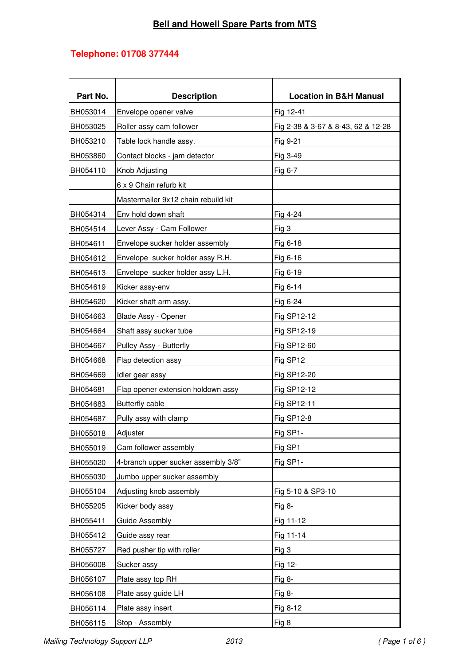## **Telephone: 01708 377444**

| Part No.        | <b>Description</b>                  | <b>Location in B&amp;H Manual</b>  |
|-----------------|-------------------------------------|------------------------------------|
| <b>BH053014</b> | Envelope opener valve               | Fig 12-41                          |
| BH053025        | Roller assy cam follower            | Fig 2-38 & 3-67 & 8-43, 62 & 12-28 |
| BH053210        | Table lock handle assy.             | Fig 9-21                           |
| <b>BH053860</b> | Contact blocks - jam detector       | Fig 3-49                           |
| BH054110        | Knob Adjusting                      | Fig 6-7                            |
|                 | 6 x 9 Chain refurb kit              |                                    |
|                 | Mastermailer 9x12 chain rebuild kit |                                    |
| BH054314        | Env hold down shaft                 | Fig 4-24                           |
| BH054514        | Lever Assy - Cam Follower           | Fig 3                              |
| BH054611        | Envelope sucker holder assembly     | Fig 6-18                           |
| BH054612        | Envelope sucker holder assy R.H.    | Fig 6-16                           |
| BH054613        | Envelope sucker holder assy L.H.    | Fig 6-19                           |
| <b>BH054619</b> | Kicker assy-env                     | Fig 6-14                           |
| <b>BH054620</b> | Kicker shaft arm assy.              | Fig 6-24                           |
| BH054663        | Blade Assy - Opener                 | Fig SP12-12                        |
| BH054664        | Shaft assy sucker tube              | Fig SP12-19                        |
| BH054667        | Pulley Assy - Butterfly             | Fig SP12-60                        |
| BH054668        | Flap detection assy                 | Fig SP12                           |
| BH054669        | Idler gear assy                     | Fig SP12-20                        |
| <b>BH054681</b> | Flap opener extension holdown assy  | Fig SP12-12                        |
| BH054683        | <b>Butterfly cable</b>              | Fig SP12-11                        |
| BH054687        | Pully assy with clamp               | Fig SP12-8                         |
| BH055018        | Adjuster                            | Fig SP1-                           |
| BH055019        | Cam follower assembly               | Fig SP1                            |
| <b>BH055020</b> | 4-branch upper sucker assembly 3/8" | Fig SP1-                           |
| BH055030        | Jumbo upper sucker assembly         |                                    |
| BH055104        | Adjusting knob assembly             | Fig 5-10 & SP3-10                  |
| <b>BH055205</b> | Kicker body assy                    | Fig $8-$                           |
| BH055411        | <b>Guide Assembly</b>               | Fig 11-12                          |
| BH055412        | Guide assy rear                     | Fig 11-14                          |
| <b>BH055727</b> | Red pusher tip with roller          | Fig 3                              |
| BH056008        | Sucker assy                         | Fig 12-                            |
| BH056107        | Plate assy top RH                   | Fig 8-                             |
| BH056108        | Plate assy guide LH                 | Fig 8-                             |
| BH056114        | Plate assy insert                   | Fig 8-12                           |
| BH056115        | Stop - Assembly                     | Fig 8                              |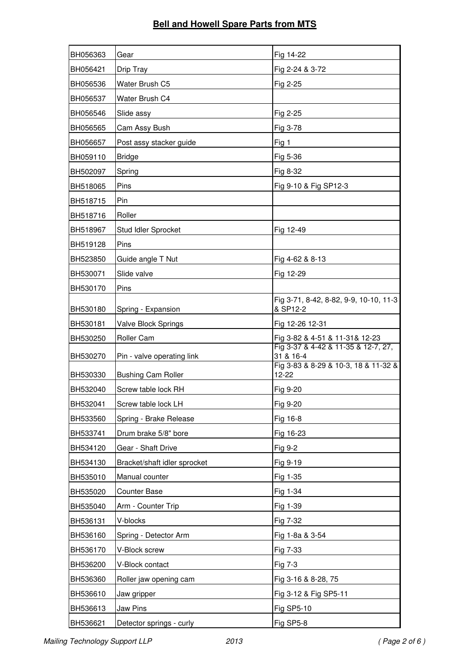| BH056363 | Gear                         | Fig 14-22                                          |
|----------|------------------------------|----------------------------------------------------|
| BH056421 | Drip Tray                    | Fig 2-24 & 3-72                                    |
| BH056536 | Water Brush C5               | Fig 2-25                                           |
| BH056537 | Water Brush C4               |                                                    |
| BH056546 | Slide assy                   | Fig 2-25                                           |
| BH056565 | Cam Assy Bush                | Fig 3-78                                           |
| BH056657 | Post assy stacker guide      | Fig 1                                              |
| BH059110 | <b>Bridge</b>                | Fig 5-36                                           |
| BH502097 | Spring                       | Fig 8-32                                           |
| BH518065 | Pins                         | Fig 9-10 & Fig SP12-3                              |
| BH518715 | Pin                          |                                                    |
| BH518716 | Roller                       |                                                    |
| BH518967 | Stud Idler Sprocket          | Fig 12-49                                          |
| BH519128 | Pins                         |                                                    |
| BH523850 | Guide angle T Nut            | Fig 4-62 & 8-13                                    |
| BH530071 | Slide valve                  | Fig 12-29                                          |
| BH530170 | Pins                         |                                                    |
| BH530180 | Spring - Expansion           | Fig 3-71, 8-42, 8-82, 9-9, 10-10, 11-3<br>& SP12-2 |
| BH530181 | Valve Block Springs          | Fig 12-26 12-31                                    |
| BH530250 | Roller Cam                   | Fig 3-82 & 4-51 & 11-31& 12-23                     |
| BH530270 | Pin - valve operating link   | Fig 3-37 & 4-42 & 11-35 & 12-7, 27,<br>31 & 16-4   |
| BH530330 | <b>Bushing Cam Roller</b>    | Fig 3-83 & 8-29 & 10-3, 18 & 11-32 &<br>12-22      |
| BH532040 | Screw table lock RH          | Fig 9-20                                           |
| BH532041 | Screw table lock LH          | Fig 9-20                                           |
| BH533560 | Spring - Brake Release       | Fig 16-8                                           |
| BH533741 | Drum brake 5/8" bore         | Fig 16-23                                          |
| BH534120 | Gear - Shaft Drive           | Fig 9-2                                            |
| BH534130 | Bracket/shaft idler sprocket | Fig 9-19                                           |
| BH535010 | Manual counter               | Fig 1-35                                           |
| BH535020 | <b>Counter Base</b>          | Fig 1-34                                           |
| BH535040 | Arm - Counter Trip           | Fig 1-39                                           |
| BH536131 | V-blocks                     | Fig 7-32                                           |
| BH536160 | Spring - Detector Arm        | Fig 1-8a & 3-54                                    |
| BH536170 | V-Block screw                | Fig 7-33                                           |
| BH536200 | V-Block contact              | Fig 7-3                                            |
| BH536360 | Roller jaw opening cam       | Fig 3-16 & 8-28, 75                                |
| BH536610 | Jaw gripper                  | Fig 3-12 & Fig SP5-11                              |
| BH536613 | Jaw Pins                     | <b>Fig SP5-10</b>                                  |
| BH536621 | Detector springs - curly     | Fig SP5-8                                          |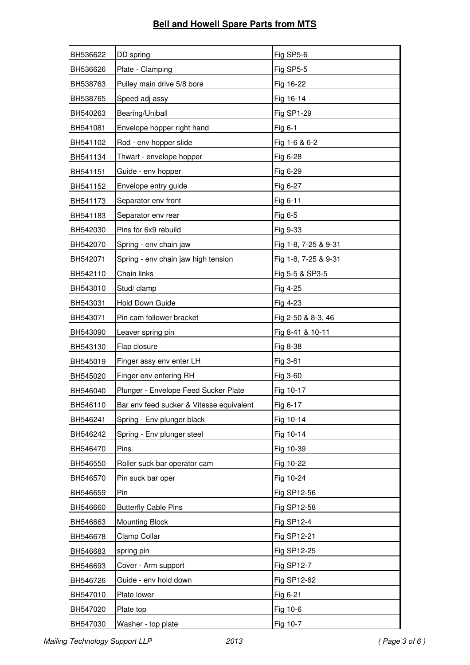## **Bell and Howell Spare Parts from MTS**

| BH536622 | DD spring                                | Fig SP5-6            |
|----------|------------------------------------------|----------------------|
| BH536626 | Plate - Clamping                         | Fig SP5-5            |
| BH538763 | Pulley main drive 5/8 bore               | Fig 16-22            |
| BH538765 | Speed adj assy                           | Fig 16-14            |
| BH540263 | Bearing/Uniball                          | Fig SP1-29           |
| BH541081 | Envelope hopper right hand               | Fig 6-1              |
| BH541102 | Rod - env hopper slide                   | Fig 1-6 & 6-2        |
| BH541134 | Thwart - envelope hopper                 | Fig 6-28             |
| BH541151 | Guide - env hopper                       | Fig 6-29             |
| BH541152 | Envelope entry guide                     | Fig 6-27             |
| BH541173 | Separator env front                      | Fig 6-11             |
| BH541183 | Separator env rear                       | Fig 6-5              |
| BH542030 | Pins for 6x9 rebuild                     | Fig 9-33             |
| BH542070 | Spring - env chain jaw                   | Fig 1-8, 7-25 & 9-31 |
| BH542071 | Spring - env chain jaw high tension      | Fig 1-8, 7-25 & 9-31 |
| BH542110 | Chain links                              | Fig 5-5 & SP3-5      |
| BH543010 | Stud/ clamp                              | Fig 4-25             |
| BH543031 | Hold Down Guide                          | Fig 4-23             |
| BH543071 | Pin cam follower bracket                 | Fig 2-50 & 8-3, 46   |
| BH543090 | Leaver spring pin                        | Fig 8-41 & 10-11     |
| BH543130 | Flap closure                             | Fig 8-38             |
| BH545019 | Finger assy env enter LH                 | Fig 3-61             |
| BH545020 | Finger env entering RH                   | Fig 3-60             |
| BH546040 | Plunger - Envelope Feed Sucker Plate     | Fig 10-17            |
| BH546110 | Bar env feed sucker & Vitesse equivalent | Fig 6-17             |
| BH546241 | Spring - Env plunger black               | Fig 10-14            |
| BH546242 | Spring - Env plunger steel               | Fig 10-14            |
| BH546470 | Pins                                     | Fig 10-39            |
| BH546550 | Roller suck bar operator cam             | Fig 10-22            |
| BH546570 | Pin suck bar oper                        | Fig 10-24            |
| BH546659 | Pin                                      | Fig SP12-56          |
| BH546660 | <b>Butterfly Cable Pins</b>              | Fig SP12-58          |
| BH546663 | <b>Mounting Block</b>                    | Fig SP12-4           |
| BH546678 | Clamp Collar                             | Fig SP12-21          |
| BH546683 | spring pin                               | Fig SP12-25          |
| BH546693 | Cover - Arm support                      | Fig SP12-7           |
| BH546726 | Guide - env hold down                    | Fig SP12-62          |
| BH547010 | Plate lower                              | Fig 6-21             |
| BH547020 | Plate top                                | Fig 10-6             |
| BH547030 | Washer - top plate                       | Fig 10-7             |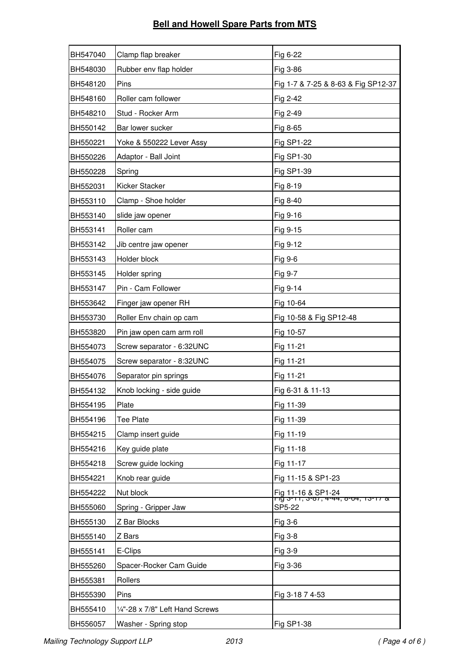| BH547040 | Clamp flap breaker              | Fig 6-22                                                                              |
|----------|---------------------------------|---------------------------------------------------------------------------------------|
| BH548030 | Rubber env flap holder          | Fig 3-86                                                                              |
| BH548120 | Pins                            | Fig 1-7 & 7-25 & 8-63 & Fig SP12-37                                                   |
| BH548160 | Roller cam follower             | Fig 2-42                                                                              |
| BH548210 | Stud - Rocker Arm               | Fig 2-49                                                                              |
| BH550142 | Bar lower sucker                | Fig 8-65                                                                              |
| BH550221 | Yoke & 550222 Lever Assy        | Fig SP1-22                                                                            |
| BH550226 | Adaptor - Ball Joint            | Fig SP1-30                                                                            |
| BH550228 | Spring                          | Fig SP1-39                                                                            |
| BH552031 | Kicker Stacker                  | Fig 8-19                                                                              |
| BH553110 | Clamp - Shoe holder             | Fig 8-40                                                                              |
| BH553140 | slide jaw opener                | Fig 9-16                                                                              |
| BH553141 | Roller cam                      | Fig 9-15                                                                              |
| BH553142 | Jib centre jaw opener           | Fig 9-12                                                                              |
| BH553143 | Holder block                    | Fig 9-6                                                                               |
| BH553145 | Holder spring                   | Fig 9-7                                                                               |
| BH553147 | Pin - Cam Follower              | Fig 9-14                                                                              |
| BH553642 | Finger jaw opener RH            | Fig 10-64                                                                             |
| BH553730 | Roller Env chain op cam         | Fig 10-58 & Fig SP12-48                                                               |
| BH553820 | Pin jaw open cam arm roll       | Fig 10-57                                                                             |
| BH554073 | Screw separator - 6:32UNC       | Fig 11-21                                                                             |
| BH554075 | Screw separator - 8:32UNC       | Fig 11-21                                                                             |
| BH554076 | Separator pin springs           | Fig 11-21                                                                             |
| BH554132 | Knob locking - side guide       | Fig 6-31 & 11-13                                                                      |
| BH554195 | Plate                           | Fig 11-39                                                                             |
| BH554196 | Tee Plate                       | Fig 11-39                                                                             |
| BH554215 | Clamp insert guide              | Fig 11-19                                                                             |
| BH554216 | Key guide plate                 | Fig 11-18                                                                             |
| BH554218 | Screw guide locking             | Fig 11-17                                                                             |
| BH554221 | Knob rear guide                 | Fig 11-15 & SP1-23                                                                    |
| BH554222 | Nut block                       | <u>Fig 11-16 &amp; SP1-24</u><br>דוד ש־דוד, ש־ס־ה <del>יו נים (דוד ס־דוד ס־דוד)</del> |
| BH555060 | Spring - Gripper Jaw            | SP5-22                                                                                |
| BH555130 | Z Bar Blocks                    | Fig 3-6                                                                               |
| BH555140 | Z Bars                          | Fig 3-8                                                                               |
| BH555141 | E-Clips                         | Fig 3-9                                                                               |
| BH555260 | Spacer-Rocker Cam Guide         | Fig 3-36                                                                              |
| BH555381 | Rollers                         |                                                                                       |
| BH555390 | Pins                            | Fig 3-18 7 4-53                                                                       |
| BH555410 | 1/4"-28 x 7/8" Left Hand Screws |                                                                                       |
| BH556057 | Washer - Spring stop            | Fig SP1-38                                                                            |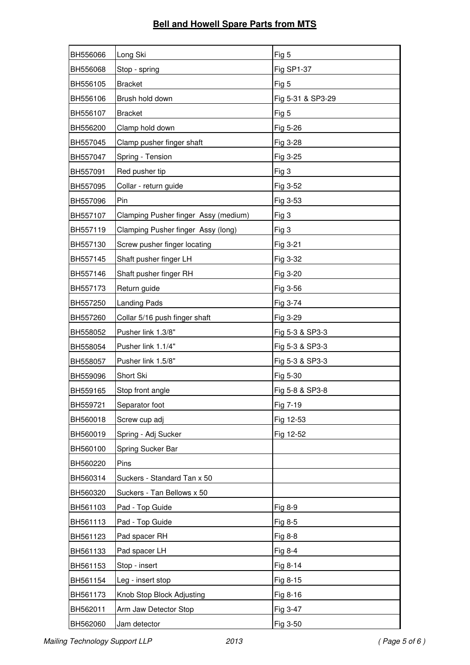| BH556066 | Long Ski                             | Fig 5             |
|----------|--------------------------------------|-------------------|
| BH556068 | Stop - spring                        | Fig SP1-37        |
| BH556105 | <b>Bracket</b>                       | Fig 5             |
| BH556106 | Brush hold down                      | Fig 5-31 & SP3-29 |
| BH556107 | <b>Bracket</b>                       | Fig 5             |
| BH556200 | Clamp hold down                      | Fig 5-26          |
| BH557045 | Clamp pusher finger shaft            | Fig 3-28          |
| BH557047 | Spring - Tension                     | Fig 3-25          |
| BH557091 | Red pusher tip                       | Fig 3             |
| BH557095 | Collar - return guide                | Fig 3-52          |
| BH557096 | Pin                                  | Fig 3-53          |
| BH557107 | Clamping Pusher finger Assy (medium) | Fig 3             |
| BH557119 | Clamping Pusher finger Assy (long)   | Fig 3             |
| BH557130 | Screw pusher finger locating         | Fig 3-21          |
| BH557145 | Shaft pusher finger LH               | Fig 3-32          |
| BH557146 | Shaft pusher finger RH               | Fig 3-20          |
| BH557173 | Return guide                         | Fig 3-56          |
| BH557250 | <b>Landing Pads</b>                  | Fig 3-74          |
| BH557260 | Collar 5/16 push finger shaft        | Fig 3-29          |
| BH558052 | Pusher link 1.3/8"                   | Fig 5-3 & SP3-3   |
| BH558054 | Pusher link 1.1/4"                   | Fig 5-3 & SP3-3   |
| BH558057 | Pusher link 1.5/8"                   | Fig 5-3 & SP3-3   |
| BH559096 | Short Ski                            | Fig 5-30          |
| BH559165 | Stop front angle                     | Fig 5-8 & SP3-8   |
| BH559721 | Separator foot                       | Fig 7-19          |
| BH560018 | Screw cup adj                        | Fig 12-53         |
| BH560019 | Spring - Adj Sucker                  | Fig 12-52         |
| BH560100 | Spring Sucker Bar                    |                   |
| BH560220 | Pins                                 |                   |
| BH560314 | Suckers - Standard Tan x 50          |                   |
| BH560320 | Suckers - Tan Bellows x 50           |                   |
| BH561103 | Pad - Top Guide                      | Fig 8-9           |
| BH561113 | Pad - Top Guide                      | Fig 8-5           |
| BH561123 | Pad spacer RH                        | Fig 8-8           |
| BH561133 | Pad spacer LH                        | Fig 8-4           |
| BH561153 | Stop - insert                        | Fig 8-14          |
| BH561154 | Leg - insert stop                    | Fig 8-15          |
| BH561173 | Knob Stop Block Adjusting            | Fig 8-16          |
| BH562011 | Arm Jaw Detector Stop                | Fig 3-47          |
| BH562060 | Jam detector                         | Fig 3-50          |